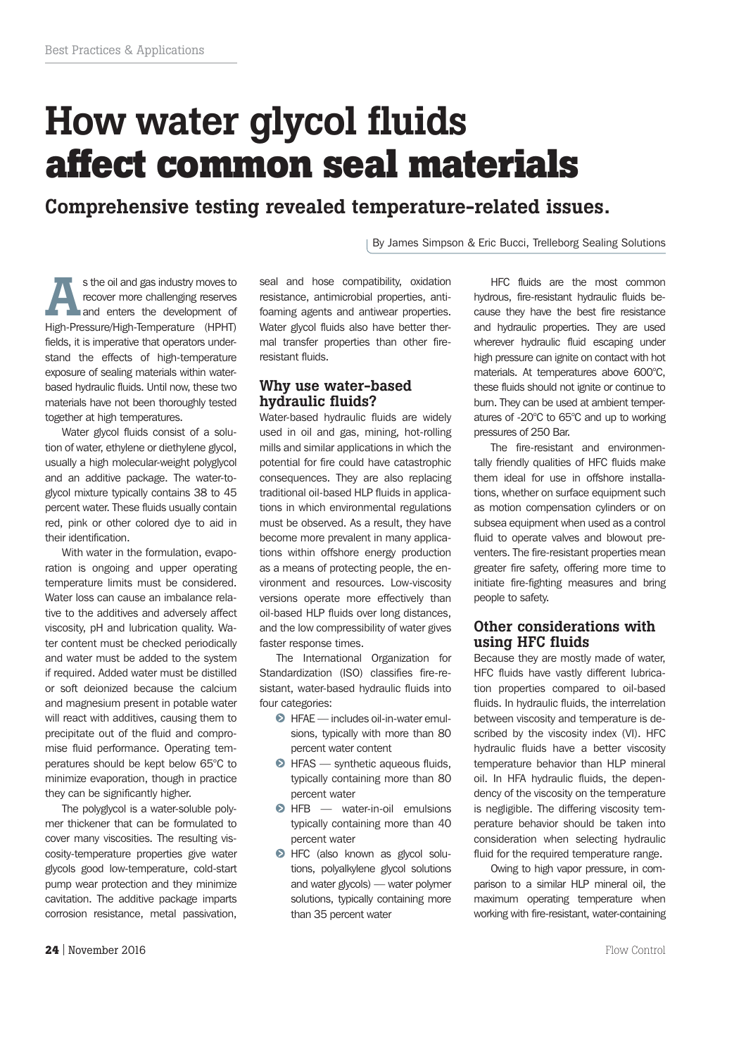# **How water glycol fluids affect common seal materials**

**Comprehensive testing revealed temperature-related issues.**

By James Simpson & Eric Bucci, Trelleborg Sealing Solutions

**A**s the oil and gas industry moves to recover more challenging reserves and enters the development of High-Pressure/High-Temperature (HPHT) fields, it is imperative that operators understand the effects of high-temperature exposure of sealing materials within waterbased hydraulic fluids. Until now, these two materials have not been thoroughly tested together at high temperatures.

Water glycol fluids consist of a solution of water, ethylene or diethylene glycol, usually a high molecular-weight polyglycol and an additive package. The water-toglycol mixture typically contains 38 to 45 percent water. These fluids usually contain red, pink or other colored dye to aid in their identification.

With water in the formulation, evaporation is ongoing and upper operating temperature limits must be considered. Water loss can cause an imbalance relative to the additives and adversely affect viscosity, pH and lubrication quality. Water content must be checked periodically and water must be added to the system if required. Added water must be distilled or soft deionized because the calcium and magnesium present in potable water will react with additives, causing them to precipitate out of the fluid and compromise fluid performance. Operating temperatures should be kept below 65°C to minimize evaporation, though in practice they can be significantly higher.

The polyglycol is a water-soluble polymer thickener that can be formulated to cover many viscosities. The resulting viscosity-temperature properties give water glycols good low-temperature, cold-start pump wear protection and they minimize cavitation. The additive package imparts corrosion resistance, metal passivation, seal and hose compatibility, oxidation resistance, antimicrobial properties, antifoaming agents and antiwear properties. Water glycol fluids also have better thermal transfer properties than other fireresistant fluids.

### **Why use water-based hydraulic fluids?**

Water-based hydraulic fluids are widely used in oil and gas, mining, hot-rolling mills and similar applications in which the potential for fire could have catastrophic consequences. They are also replacing traditional oil-based HLP fluids in applications in which environmental regulations must be observed. As a result, they have become more prevalent in many applications within offshore energy production as a means of protecting people, the environment and resources. Low-viscosity versions operate more effectively than oil-based HLP fluids over long distances, and the low compressibility of water gives faster response times.

The International Organization for Standardization (ISO) classifies fire-resistant, water-based hydraulic fluids into four categories:

- $\odot$  HFAE includes oil-in-water emulsions, typically with more than 80 percent water content
- HFAS synthetic aqueous fluids, typically containing more than 80 percent water
- $\odot$  HFB  $-$  water-in-oil emulsions typically containing more than 40 percent water
- **HFC** (also known as glycol solutions, polyalkylene glycol solutions and water glycols) — water polymer solutions, typically containing more than 35 percent water

HFC fluids are the most common hydrous, fire-resistant hydraulic fluids because they have the best fire resistance and hydraulic properties. They are used wherever hydraulic fluid escaping under high pressure can ignite on contact with hot materials. At temperatures above 600°C, these fluids should not ignite or continue to burn. They can be used at ambient temperatures of -20°C to 65°C and up to working pressures of 250 Bar.

The fire-resistant and environmentally friendly qualities of HFC fluids make them ideal for use in offshore installations, whether on surface equipment such as motion compensation cylinders or on subsea equipment when used as a control fluid to operate valves and blowout preventers. The fire-resistant properties mean greater fire safety, offering more time to initiate fire-fighting measures and bring people to safety.

# **Other considerations with using HFC fluids**

Because they are mostly made of water, HFC fluids have vastly different lubrication properties compared to oil-based fluids. In hydraulic fluids, the interrelation between viscosity and temperature is described by the viscosity index (VI). HFC hydraulic fluids have a better viscosity temperature behavior than HLP mineral oil. In HFA hydraulic fluids, the dependency of the viscosity on the temperature is negligible. The differing viscosity temperature behavior should be taken into consideration when selecting hydraulic fluid for the required temperature range.

Owing to high vapor pressure, in comparison to a similar HLP mineral oil, the maximum operating temperature when working with fire-resistant, water-containing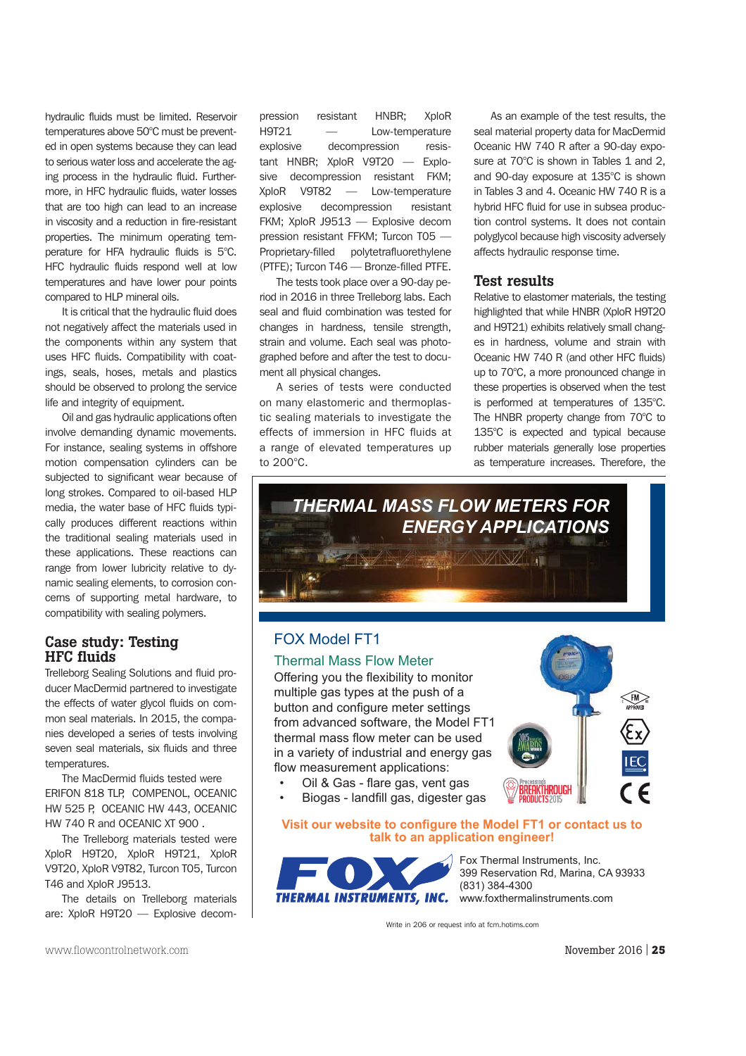hydraulic fluids must be limited. Reservoir temperatures above 50°C must be prevented in open systems because they can lead to serious water loss and accelerate the aging process in the hydraulic fluid. Furthermore, in HFC hydraulic fluids, water losses that are too high can lead to an increase in viscosity and a reduction in fire-resistant properties. The minimum operating temperature for HFA hydraulic fluids is 5°C. HFC hydraulic fluids respond well at low temperatures and have lower pour points compared to HLP mineral oils.

It is critical that the hydraulic fluid does not negatively affect the materials used in the components within any system that uses HFC fluids. Compatibility with coatings, seals, hoses, metals and plastics should be observed to prolong the service life and integrity of equipment.

Oil and gas hydraulic applications often involve demanding dynamic movements. For instance, sealing systems in offshore motion compensation cylinders can be subjected to significant wear because of long strokes. Compared to oil-based HLP media, the water base of HFC fluids typically produces different reactions within the traditional sealing materials used in these applications. These reactions can range from lower lubricity relative to dynamic sealing elements, to corrosion concerns of supporting metal hardware, to compatibility with sealing polymers.

## **Case study: Testing HFC fluids**

Trelleborg Sealing Solutions and fluid producer MacDermid partnered to investigate the effects of water glycol fluids on common seal materials. In 2015, the companies developed a series of tests involving seven seal materials, six fluids and three temperatures.

The MacDermid fluids tested were ERIFON 818 TLP, COMPENOL, OCEANIC HW 525 P, OCEANIC HW 443, OCEANIC HW 740 R and OCEANIC XT 900 .

The Trelleborg materials tested were XploR H9T20, XploR H9T21, XploR V9T20, XploR V9T82, Turcon T05, Turcon T46 and XploR J9513.

The details on Trelleborg materials are: XploR H9T20 — Explosive decompression resistant HNBR; XploR H9T21 — Low-temperature explosive decompression resistant HNBR; XploR V9T20 — Explosive decompression resistant FKM; XploR V9T82 — Low-temperature explosive decompression resistant FKM; XploR J9513 — Explosive decom pression resistant FFKM; Turcon T05 — Proprietary-filled polytetrafluorethylene (PTFE); Turcon T46 — Bronze-filled PTFE.

The tests took place over a 90-day period in 2016 in three Trelleborg labs. Each seal and fluid combination was tested for changes in hardness, tensile strength, strain and volume. Each seal was photographed before and after the test to document all physical changes.

A series of tests were conducted on many elastomeric and thermoplastic sealing materials to investigate the effects of immersion in HFC fluids at a range of elevated temperatures up to 200°C.

As an example of the test results, the seal material property data for MacDermid Oceanic HW 740 R after a 90-day exposure at 70°C is shown in Tables 1 and 2, and 90-day exposure at 135°C is shown in Tables 3 and 4. Oceanic HW 740 R is a hybrid HFC fluid for use in subsea production control systems. It does not contain polyglycol because high viscosity adversely affects hydraulic response time.

#### **Test results**

Relative to elastomer materials, the testing highlighted that while HNBR (XploR H9T20 and H9T21) exhibits relatively small changes in hardness, volume and strain with Oceanic HW 740 R (and other HFC fluids) up to 70°C, a more pronounced change in these properties is observed when the test is performed at temperatures of 135°C. The HNBR property change from 70°C to 135°C is expected and typical because rubber materials generally lose properties as temperature increases. Therefore, the



# FOX Model FT1

#### Thermal Mass Flow Meter

Offering you the flexibility to monitor multiple gas types at the push of a button and configure meter settings from advanced software, the Model FT1 thermal mass flow meter can be used in a variety of industrial and energy gas flow measurement applications:



- Oil & Gas flare gas, vent gas
- Biogas landfill gas, digester gas

Visit our website to configure the Model FT1 or contact us to **talk to an application engineer!** 



Fox Thermal Instruments, Inc. 399 Reservation Rd. Marina, CA 93933 (831) 384-4300 www.foxthermalinstruments.com

Write in 206 or request info at fom hotims com